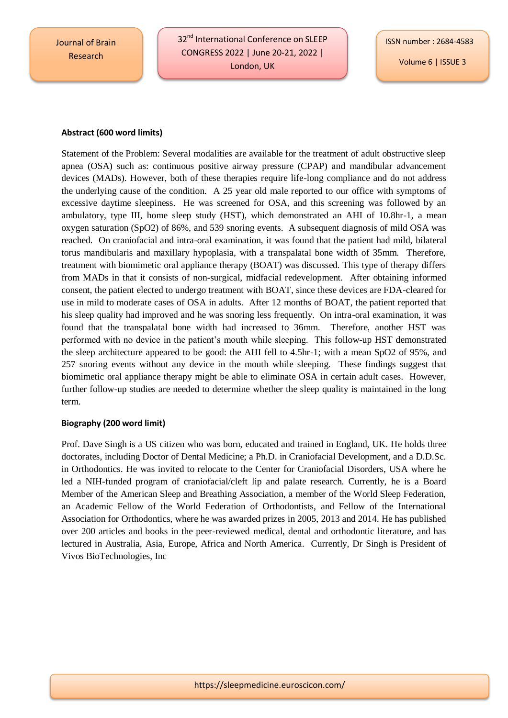Journal of Brain Research

32<sup>nd</sup> International Conference on SLEEP CONGRESS 2022 | June 20-21, 2022 | London, UK

Volume 6 | ISSUE 3

## **Abstract (600 word limits)**

Statement of the Problem: Several modalities are available for the treatment of adult obstructive sleep apnea (OSA) such as: continuous positive airway pressure (CPAP) and mandibular advancement devices (MADs). However, both of these therapies require life-long compliance and do not address the underlying cause of the condition. A 25 year old male reported to our office with symptoms of excessive daytime sleepiness. He was screened for OSA, and this screening was followed by an ambulatory, type III, home sleep study (HST), which demonstrated an AHI of 10.8hr-1, a mean oxygen saturation (SpO2) of 86%, and 539 snoring events. A subsequent diagnosis of mild OSA was reached. On craniofacial and intra-oral examination, it was found that the patient had mild, bilateral torus mandibularis and maxillary hypoplasia, with a transpalatal bone width of 35mm. Therefore, treatment with biomimetic oral appliance therapy (BOAT) was discussed. This type of therapy differs from MADs in that it consists of non-surgical, midfacial redevelopment. After obtaining informed consent, the patient elected to undergo treatment with BOAT, since these devices are FDA-cleared for use in mild to moderate cases of OSA in adults. After 12 months of BOAT, the patient reported that his sleep quality had improved and he was snoring less frequently. On intra-oral examination, it was found that the transpalatal bone width had increased to 36mm. Therefore, another HST was performed with no device in the patient's mouth while sleeping. This follow-up HST demonstrated the sleep architecture appeared to be good: the AHI fell to 4.5hr-1; with a mean SpO2 of 95%, and 257 snoring events without any device in the mouth while sleeping. These findings suggest that biomimetic oral appliance therapy might be able to eliminate OSA in certain adult cases. However, further follow-up studies are needed to determine whether the sleep quality is maintained in the long term.

## **Biography (200 word limit)**

Prof. Dave Singh is a US citizen who was born, educated and trained in England, UK. He holds three doctorates, including Doctor of Dental Medicine; a Ph.D. in Craniofacial Development, and a D.D.Sc. in Orthodontics. He was invited to relocate to the Center for Craniofacial Disorders, USA where he led a NIH-funded program of craniofacial/cleft lip and palate research. Currently, he is a Board Member of the American Sleep and Breathing Association, a member of the World Sleep Federation, an Academic Fellow of the World Federation of Orthodontists, and Fellow of the International Association for Orthodontics, where he was awarded prizes in 2005, 2013 and 2014. He has published over 200 articles and books in the peer-reviewed medical, dental and orthodontic literature, and has lectured in Australia, Asia, Europe, Africa and North America. Currently, Dr Singh is President of Vivos BioTechnologies, Inc